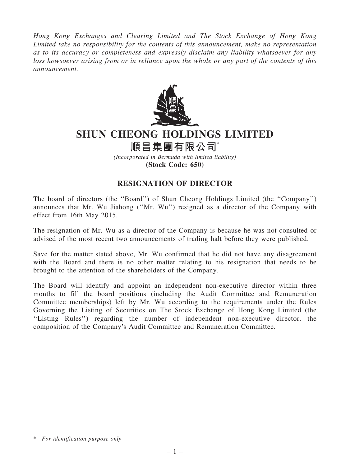Hong Kong Exchanges and Clearing Limited and The Stock Exchange of Hong Kong Limited take no responsibility for the contents of this announcement, make no representation as to its accuracy or completeness and expressly disclaim any liability whatsoever for any loss howsoever arising from or in reliance upon the whole or any part of the contents of this announcement.



## SHUN CHEONG HOLDINGS LIMITED

順昌集團有限公司\*

(Incorporated in Bermuda with limited liability) (Stock Code: 650)

## RESIGNATION OF DIRECTOR

The board of directors (the ''Board'') of Shun Cheong Holdings Limited (the ''Company'') announces that Mr. Wu Jiahong (''Mr. Wu'') resigned as a director of the Company with effect from 16th May 2015.

The resignation of Mr. Wu as a director of the Company is because he was not consulted or advised of the most recent two announcements of trading halt before they were published.

Save for the matter stated above, Mr. Wu confirmed that he did not have any disagreement with the Board and there is no other matter relating to his resignation that needs to be brought to the attention of the shareholders of the Company.

The Board will identify and appoint an independent non-executive director within three months to fill the board positions (including the Audit Committee and Remuneration Committee memberships) left by Mr. Wu according to the requirements under the Rules Governing the Listing of Securities on The Stock Exchange of Hong Kong Limited (the ''Listing Rules'') regarding the number of independent non-executive director, the composition of the Company's Audit Committee and Remuneration Committee.

<sup>\*</sup> For identification purpose only